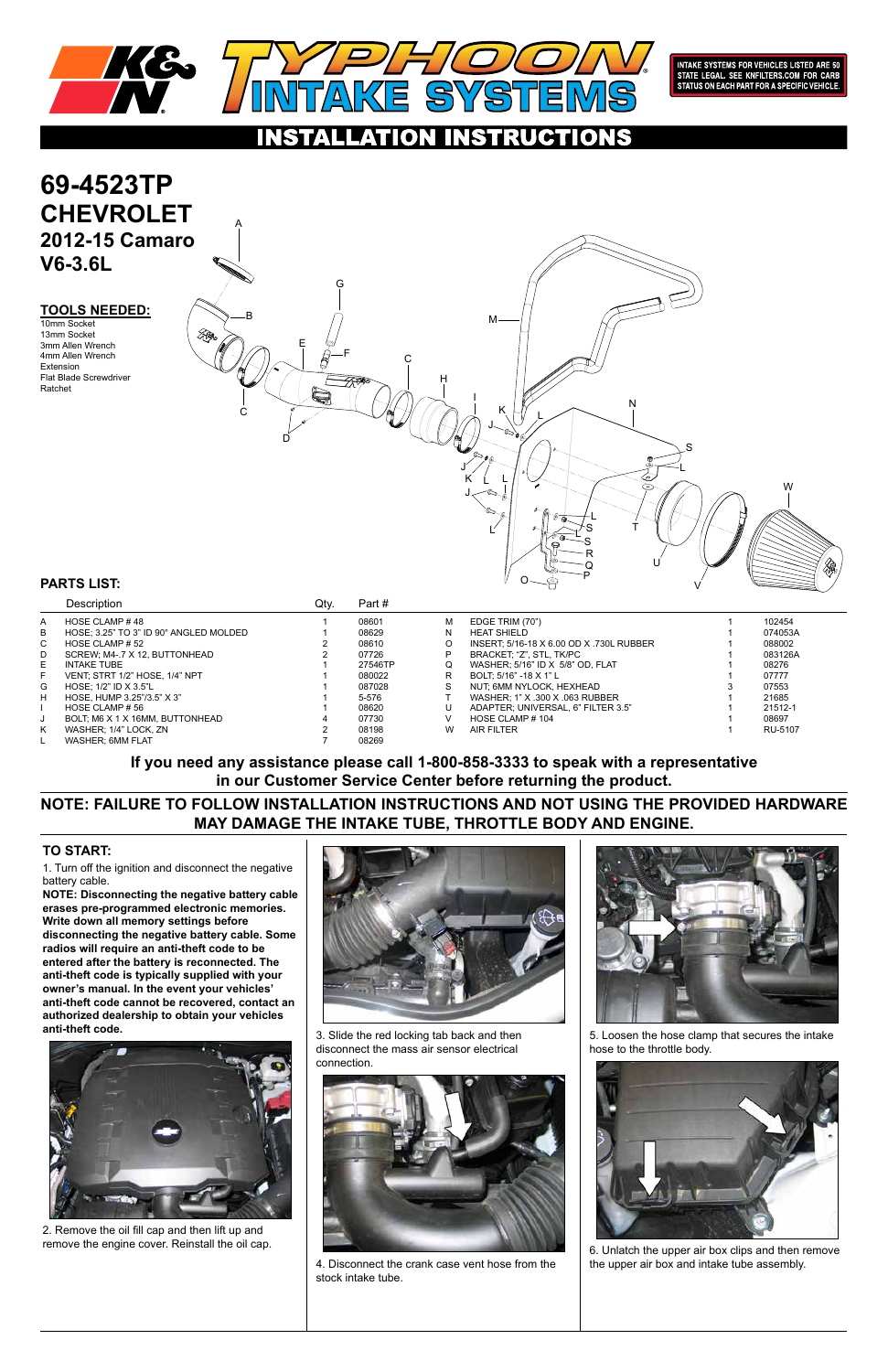## **TOOLS NEEDED:**

1. Turn off the ignition and disconnect the negative battery cable.

**NOTE: Disconnecting the negative battery cable erases pre-programmed electronic memories. Write down all memory settings before disconnecting the negative battery cable. Some radios will require an anti-theft code to be entered after the battery is reconnected. The anti-theft code is typically supplied with your owner's manual. In the event your vehicles' anti-theft code cannot be recovered, contact an** 





# **69-4523TP CHEVROLET 2012-15 Camaro V6-3.6L**

**authorized dealership to obtain your vehicles anti-theft code.**



## **TO START:**

## **PARTS LIST:**



INTAKE SYSTEMS FOR VEHICLES LISTED ARE 50<br>STATE LEGAL. SEE KNFILTERS.COM FOR CARB<br>STATUS ON EACH PART FOR A SPECIFIC VEHICLE.

### ION **RUGTIONS** ÆT

10mm Socket 13mm Socket 3mm Allen Wrench 4mm Allen Wrench Extension Flat Blade Screwdriver Ratchet

2. Remove the oil fill cap and then lift up and remove the engine cover. Reinstall the oil cap. 3. Slide the red locking tab back and then disconnect the mass air sensor electrical connection.



4. Disconnect the crank case vent hose from the stock intake tube.

5. Loosen the hose clamp that secures the intake hose to the throttle body.



6. Unlatch the upper air box clips and then remove the upper air box and intake tube assembly.

|              | Description                            | Qty. | Part#   |   |                                          |         |
|--------------|----------------------------------------|------|---------|---|------------------------------------------|---------|
| A            | HOSE CLAMP #48                         |      | 08601   | м | EDGE TRIM (70")                          | 102454  |
| B            | HOSE; 3.25" TO 3" ID 90° ANGLED MOLDED |      | 08629   | N | <b>HEAT SHIELD</b>                       | 074053A |
| $\mathsf{C}$ | HOSE CLAMP # 52                        |      | 08610   | O | INSERT, 5/16-18 X 6.00 OD X .730L RUBBER | 088002  |
| D            | SCREW, M4-.7 X 12, BUTTONHEAD          |      | 07726   | P | BRACKET, "Z", STL, TK/PC                 | 083126A |
| E.           | <b>INTAKE TUBE</b>                     |      | 27546TP | Q | WASHER; 5/16" ID X 5/8" OD, FLAT         | 08276   |
| F.           | VENT, STRT 1/2" HOSE, 1/4" NPT         |      | 080022  | R | BOLT: 5/16" -18 X 1" L                   | 07777   |
| G            | HOSE: $1/2$ " ID X 3.5"L               |      | 087028  | S | NUT, 6MM NYLOCK, HEXHEAD                 | 07553   |
| H            | HOSE. HUMP 3.25"/3.5" X 3"             |      | 5-576   |   | WASHER, 1" X .300 X .063 RUBBER          | 21685   |
|              | HOSE CLAMP # 56                        |      | 08620   |   | ADAPTER; UNIVERSAL, 6" FILTER 3.5"       | 21512-1 |
| J            | BOLT, M6 X 1 X 16MM, BUTTONHEAD        |      | 07730   | v | HOSE CLAMP #104                          | 08697   |
| K            | WASHER; 1/4" LOCK, ZN                  |      | 08198   | W | <b>AIR FILTER</b>                        | RU-5107 |
|              | WASHER; 6MM FLAT                       |      | 08269   |   |                                          |         |



## **NOTE: FAILURE TO FOLLOW INSTALLATION INSTRUCTIONS AND NOT USING THE PROVIDED HARDWARE MAY DAMAGE THE INTAKE TUBE, THROTTLE BODY AND ENGINE.**

**If you need any assistance please call 1-800-858-3333 to speak with a representative in our Customer Service Center before returning the product.**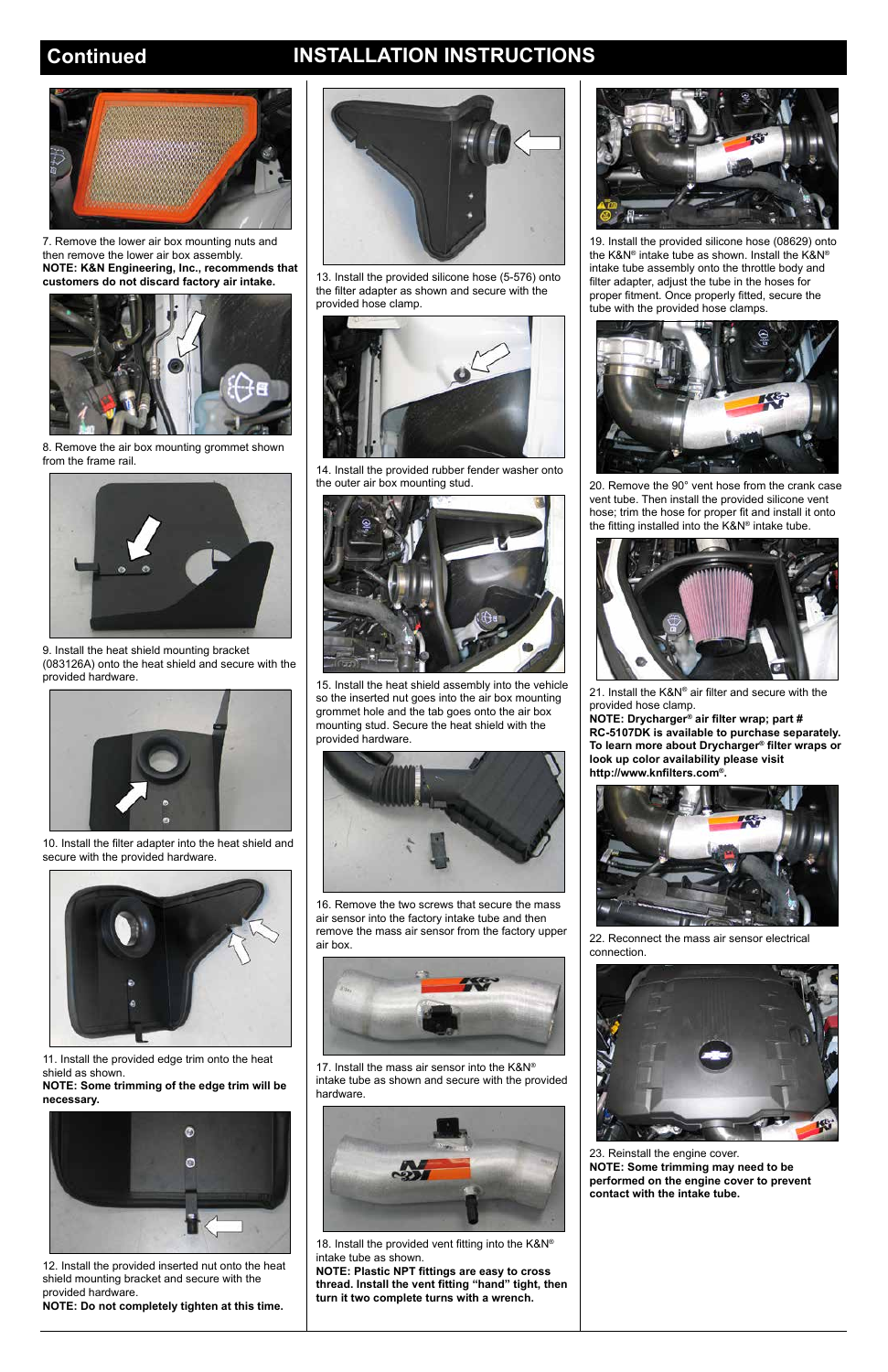## **Continued INSTALLATION INSTRUCTIONS**



10. Install the filter adapter into the heat shield and secure with the provided hardware.



11. Install the provided edge trim onto the heat shield as shown.

**NOTE: Some trimming of the edge trim will be necessary.**



12. Install the provided inserted nut onto the heat shield mounting bracket and secure with the provided hardware.

**NOTE: Do not completely tighten at this time.**



13. Install the provided silicone hose (5-576) onto the filter adapter as shown and secure with the provided hose clamp.



15. Install the heat shield assembly into the vehicle so the inserted nut goes into the air box mounting grommet hole and the tab goes onto the air box mounting stud. Secure the heat shield with the provided hardware.



14. Install the provided rubber fender washer onto the outer air box mounting stud.



16. Remove the two screws that secure the mass air sensor into the factory intake tube and then remove the mass air sensor from the factory upper air box.



17. Install the mass air sensor into the K&N® intake tube as shown and secure with the provided hardware.



18. Install the provided vent fitting into the K&N® intake tube as shown.

**NOTE: Plastic NPT fittings are easy to cross thread. Install the vent fitting "hand" tight, then turn it two complete turns with a wrench.**



19. Install the provided silicone hose (08629) onto the K&N® intake tube as shown. Install the K&N® intake tube assembly onto the throttle body and filter adapter, adjust the tube in the hoses for proper fitment. Once properly fitted, secure the tube with the provided hose clamps.



20. Remove the 90° vent hose from the crank case vent tube. Then install the provided silicone vent hose; trim the hose for proper fit and install it onto the fitting installed into the K&N® intake tube.



21. Install the K&N® air filter and secure with the provided hose clamp.

**NOTE: Drycharger® air filter wrap; part # RC-5107DK is available to purchase separately. To learn more about Drycharger® filter wraps or look up color availability please visit http://www.knfilters.com®.**



22. Reconnect the mass air sensor electrical connection.



23. Reinstall the engine cover. **NOTE: Some trimming may need to be performed on the engine cover to prevent contact with the intake tube.**



9. Install the heat shield mounting bracket (083126A) onto the heat shield and secure with the provided hardware.



7. Remove the lower air box mounting nuts and then remove the lower air box assembly. **NOTE: K&N Engineering, Inc., recommends that customers do not discard factory air intake.**



8. Remove the air box mounting grommet shown from the frame rail.